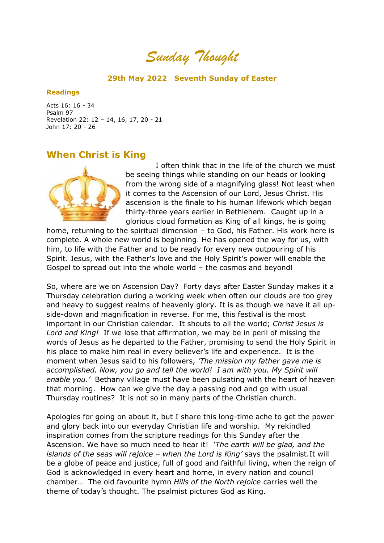*Sunday Thought*

## **29th May 2022 Seventh Sunday of Easter**

## **Readings**

Acts 16: 16 - 34 Psalm 97 Revelation 22: 12 – 14, 16, 17, 20 - 21 John 17: 20 - 26

## **When Christ is King**



 I often think that in the life of the church we must be seeing things while standing on our heads or looking from the wrong side of a magnifying glass! Not least when it comes to the Ascension of our Lord, Jesus Christ. His ascension is the finale to his human lifework which began thirty-three years earlier in Bethlehem. Caught up in a glorious cloud formation as King of all kings, he is going

home, returning to the spiritual dimension – to God, his Father. His work here is complete. A whole new world is beginning. He has opened the way for us, with him, to life with the Father and to be ready for every new outpouring of his Spirit. Jesus, with the Father's love and the Holy Spirit's power will enable the Gospel to spread out into the whole world – the cosmos and beyond!

So, where are we on Ascension Day? Forty days after Easter Sunday makes it a Thursday celebration during a working week when often our clouds are too grey and heavy to suggest realms of heavenly glory. It is as though we have it all upside-down and magnification in reverse. For me, this festival is the most important in our Christian calendar. It shouts to all the world; *Christ Jesus is Lord and King!* If we lose that affirmation, we may be in peril of missing the words of Jesus as he departed to the Father, promising to send the Holy Spirit in his place to make him real in every believer's life and experience. It is the moment when Jesus said to his followers, *'The mission my father gave me is accomplished. Now, you go and tell the world! I am with you. My Spirit will enable you.'* Bethany village must have been pulsating with the heart of heaven that morning. How can we give the day a passing nod and go with usual Thursday routines? It is not so in many parts of the Christian church.

Apologies for going on about it, but I share this long-time ache to get the power and glory back into our everyday Christian life and worship. My rekindled inspiration comes from the scripture readings for this Sunday after the Ascension. We have so much need to hear it! *'The earth will be glad, and the islands of the seas will rejoice – when the Lord is King'* says the psalmist.It will be a globe of peace and justice, full of good and faithful living, when the reign of God is acknowledged in every heart and home, in every nation and council chamber… The old favourite hymn *Hills of the North rejoice* carries well the theme of today's thought. The psalmist pictures God as King.